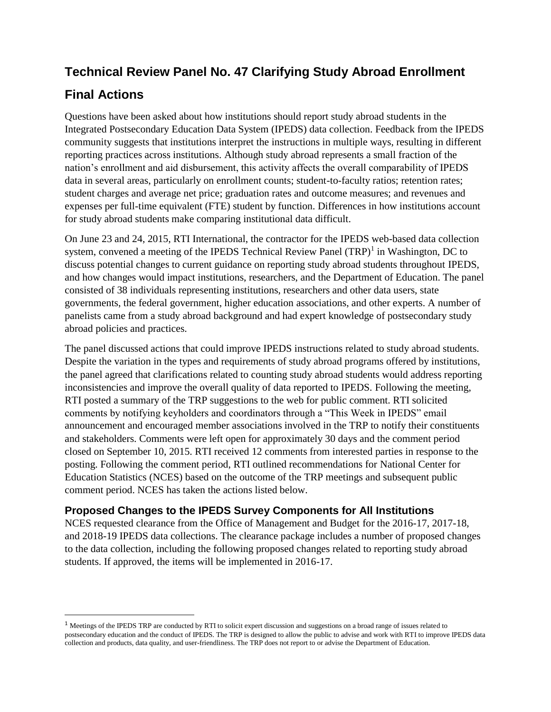# **Technical Review Panel No. 47 Clarifying Study Abroad Enrollment**

## **Final Actions**

 $\overline{\phantom{a}}$ 

Questions have been asked about how institutions should report study abroad students in the Integrated Postsecondary Education Data System (IPEDS) data collection. Feedback from the IPEDS community suggests that institutions interpret the instructions in multiple ways, resulting in different reporting practices across institutions. Although study abroad represents a small fraction of the nation's enrollment and aid disbursement, this activity affects the overall comparability of IPEDS data in several areas, particularly on enrollment counts; student-to-faculty ratios; retention rates; student charges and average net price; graduation rates and outcome measures; and revenues and expenses per full-time equivalent (FTE) student by function. Differences in how institutions account for study abroad students make comparing institutional data difficult.

On June 23 and 24, 2015, RTI International, the contractor for the IPEDS web-based data collection system, convened a meeting of the IPEDS Technical Review Panel  $(TRP)^1$  in Washington, DC to discuss potential changes to current guidance on reporting study abroad students throughout IPEDS, and how changes would impact institutions, researchers, and the Department of Education. The panel consisted of 38 individuals representing institutions, researchers and other data users, state governments, the federal government, higher education associations, and other experts. A number of panelists came from a study abroad background and had expert knowledge of postsecondary study abroad policies and practices.

The panel discussed actions that could improve IPEDS instructions related to study abroad students. Despite the variation in the types and requirements of study abroad programs offered by institutions, the panel agreed that clarifications related to counting study abroad students would address reporting inconsistencies and improve the overall quality of data reported to IPEDS. Following the meeting, RTI posted a summary of the TRP suggestions to the web for public comment. RTI solicited comments by notifying keyholders and coordinators through a "This Week in IPEDS" email announcement and encouraged member associations involved in the TRP to notify their constituents and stakeholders. Comments were left open for approximately 30 days and the comment period closed on September 10, 2015. RTI received 12 comments from interested parties in response to the posting. Following the comment period, RTI outlined recommendations for National Center for Education Statistics (NCES) based on the outcome of the TRP meetings and subsequent public comment period. NCES has taken the actions listed below.

### **Proposed Changes to the IPEDS Survey Components for All Institutions**

NCES requested clearance from the Office of Management and Budget for the 2016-17, 2017-18, and 2018-19 IPEDS data collections. The clearance package includes a number of proposed changes to the data collection, including the following proposed changes related to reporting study abroad students. If approved, the items will be implemented in 2016-17.

<sup>&</sup>lt;sup>1</sup> Meetings of the IPEDS TRP are conducted by RTI to solicit expert discussion and suggestions on a broad range of issues related to postsecondary education and the conduct of IPEDS. The TRP is designed to allow the public to advise and work with RTI to improve IPEDS data collection and products, data quality, and user-friendliness. The TRP does not report to or advise the Department of Education.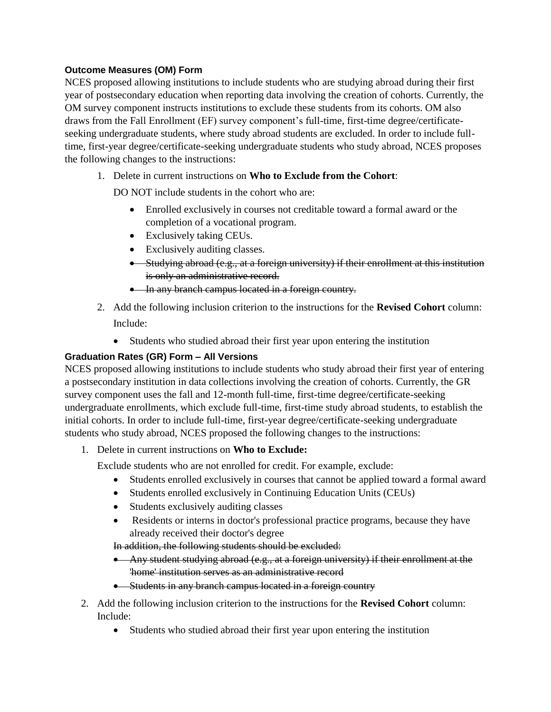#### **Outcome Measures (OM) Form**

NCES proposed allowing institutions to include students who are studying abroad during their first year of postsecondary education when reporting data involving the creation of cohorts. Currently, the OM survey component instructs institutions to exclude these students from its cohorts. OM also draws from the Fall Enrollment (EF) survey component's full-time, first-time degree/certificateseeking undergraduate students, where study abroad students are excluded. In order to include fulltime, first-year degree/certificate-seeking undergraduate students who study abroad, NCES proposes the following changes to the instructions:

1. Delete in current instructions on **Who to Exclude from the Cohort**:

DO NOT include students in the cohort who are:

- Enrolled exclusively in courses not creditable toward a formal award or the completion of a vocational program.
- Exclusively taking CEUs.
- Exclusively auditing classes.
- Studying abroad (e.g., at a foreign university) if their enrollment at this institution is only an administrative record.
- In any branch campus located in a foreign country.
- 2. Add the following inclusion criterion to the instructions for the **Revised Cohort** column: Include:
	- Students who studied abroad their first year upon entering the institution

#### **Graduation Rates (GR) Form – All Versions**

NCES proposed allowing institutions to include students who study abroad their first year of entering a postsecondary institution in data collections involving the creation of cohorts. Currently, the GR survey component uses the fall and 12-month full-time, first-time degree/certificate-seeking undergraduate enrollments, which exclude full-time, first-time study abroad students, to establish the initial cohorts. In order to include full-time, first-year degree/certificate-seeking undergraduate students who study abroad, NCES proposed the following changes to the instructions:

1. Delete in current instructions on **Who to Exclude:**

Exclude students who are not enrolled for credit. For example, exclude:

- Students enrolled exclusively in courses that cannot be applied toward a formal award
- Students enrolled exclusively in Continuing Education Units (CEUs)
- Students exclusively auditing classes
- Residents or interns in doctor's professional practice programs, because they have already received their doctor's degree

In addition, the following students should be excluded:

- $\bullet$  Any student studying abroad (e.g., at a foreign university) if their enrollment at the 'home' institution serves as an administrative record
- Students in any branch campus located in a foreign country
- 2. Add the following inclusion criterion to the instructions for the **Revised Cohort** column: Include:
	- Students who studied abroad their first year upon entering the institution